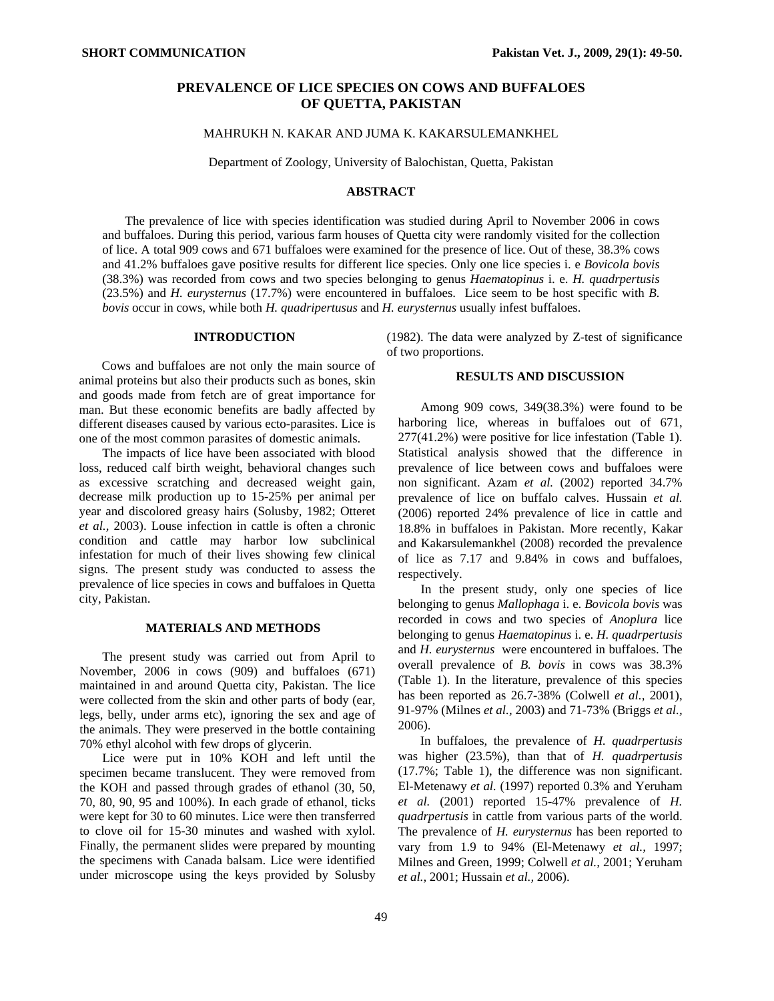# **PREVALENCE OF LICE SPECIES ON COWS AND BUFFALOES OF QUETTA, PAKISTAN**

MAHRUKH N. KAKAR AND JUMA K. KAKARSULEMANKHEL

Department of Zoology, University of Balochistan, Quetta, Pakistan

#### **ABSTRACT**

The prevalence of lice with species identification was studied during April to November 2006 in cows and buffaloes. During this period, various farm houses of Quetta city were randomly visited for the collection of lice. A total 909 cows and 671 buffaloes were examined for the presence of lice. Out of these, 38.3% cows and 41.2% buffaloes gave positive results for different lice species. Only one lice species i. e *Bovicola bovis* (38.3%) was recorded from cows and two species belonging to genus *Haematopinus* i. e. *H. quadrpertusis*  (23.5%) and *H. eurysternus* (17.7%) were encountered in buffaloes. Lice seem to be host specific with *B. bovis* occur in cows, while both *H. quadripertusus* and *H. eurysternus* usually infest buffaloes.

#### **INTRODUCTION**

Cows and buffaloes are not only the main source of animal proteins but also their products such as bones, skin and goods made from fetch are of great importance for man. But these economic benefits are badly affected by different diseases caused by various ecto-parasites. Lice is one of the most common parasites of domestic animals.

The impacts of lice have been associated with blood loss, reduced calf birth weight, behavioral changes such as excessive scratching and decreased weight gain, decrease milk production up to 15-25% per animal per year and discolored greasy hairs (Solusby, 1982; Otteret *et al.,* 2003). Louse infection in cattle is often a chronic condition and cattle may harbor low subclinical infestation for much of their lives showing few clinical signs. The present study was conducted to assess the prevalence of lice species in cows and buffaloes in Quetta city, Pakistan.

#### **MATERIALS AND METHODS**

The present study was carried out from April to November, 2006 in cows (909) and buffaloes (671) maintained in and around Quetta city, Pakistan. The lice were collected from the skin and other parts of body (ear, legs, belly, under arms etc), ignoring the sex and age of the animals. They were preserved in the bottle containing 70% ethyl alcohol with few drops of glycerin.

Lice were put in 10% KOH and left until the specimen became translucent. They were removed from the KOH and passed through grades of ethanol (30, 50, 70, 80, 90, 95 and 100%). In each grade of ethanol, ticks were kept for 30 to 60 minutes. Lice were then transferred to clove oil for 15-30 minutes and washed with xylol. Finally, the permanent slides were prepared by mounting the specimens with Canada balsam. Lice were identified under microscope using the keys provided by Solusby

(1982). The data were analyzed by Z-test of significance of two proportions.

### **RESULTS AND DISCUSSION**

Among 909 cows, 349(38.3%) were found to be harboring lice, whereas in buffaloes out of 671, 277(41.2%) were positive for lice infestation (Table 1). Statistical analysis showed that the difference in prevalence of lice between cows and buffaloes were non significant. Azam *et al.* (2002) reported 34.7% prevalence of lice on buffalo calves. Hussain *et al.*  (2006) reported 24% prevalence of lice in cattle and 18.8% in buffaloes in Pakistan. More recently, Kakar and Kakarsulemankhel (2008) recorded the prevalence of lice as 7.17 and 9.84% in cows and buffaloes, respectively.

In the present study, only one species of lice belonging to genus *Mallophaga* i. e. *Bovicola bovis* was recorded in cows and two species of *Anoplura* lice belonging to genus *Haematopinus* i. e. *H. quadrpertusis*  and *H. eurysternus* were encountered in buffaloes. The overall prevalence of *B. bovis* in cows was 38.3% (Table 1). In the literature, prevalence of this species has been reported as 26.7-38% (Colwell *et al.,* 2001), 91-97% (Milnes *et al.,* 2003) and 71-73% (Briggs *et al.,*  2006).

 In buffaloes, the prevalence of *H. quadrpertusis* was higher (23.5%), than that of *H. quadrpertusis* (17.7%; Table 1), the difference was non significant. El-Metenawy *et al.* (1997) reported 0.3% and Yeruham *et al.* (2001) reported 15-47% prevalence of *H. quadrpertusis* in cattle from various parts of the world. The prevalence of *H. eurysternus* has been reported to vary from 1.9 to 94% (El-Metenawy *et al.,* 1997; Milnes and Green, 1999; Colwell *et al.,* 2001; Yeruham *et al.,* 2001; Hussain *et al.,* 2006).